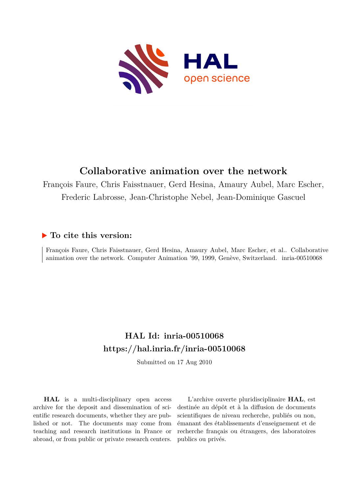

# **Collaborative animation over the network**

François Faure, Chris Faisstnauer, Gerd Hesina, Amaury Aubel, Marc Escher, Frederic Labrosse, Jean-Christophe Nebel, Jean-Dominique Gascuel

## **To cite this version:**

François Faure, Chris Faisstnauer, Gerd Hesina, Amaury Aubel, Marc Escher, et al.. Collaborative animation over the network. Computer Animation '99, 1999, Genève, Switzerland. inria-00510068

## **HAL Id: inria-00510068 <https://hal.inria.fr/inria-00510068>**

Submitted on 17 Aug 2010

**HAL** is a multi-disciplinary open access archive for the deposit and dissemination of scientific research documents, whether they are published or not. The documents may come from teaching and research institutions in France or abroad, or from public or private research centers.

L'archive ouverte pluridisciplinaire **HAL**, est destinée au dépôt et à la diffusion de documents scientifiques de niveau recherche, publiés ou non, émanant des établissements d'enseignement et de recherche français ou étrangers, des laboratoires publics ou privés.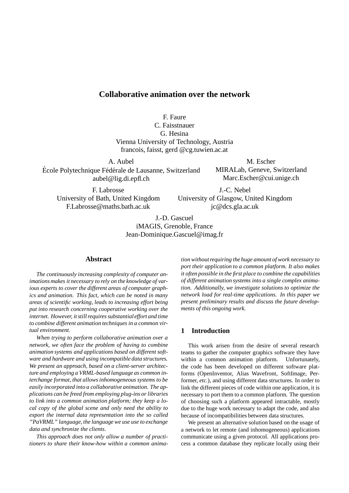## **Collaborative animation over the network**

F. Faure

C. Faisstnauer G. Hesina Vienna University of Technology, Austria francois, faisst, gerd @cg.tuwien.ac.at

A. Aubel

École Polytechnique Fédérale de Lausanne, Switzerland aubel@lig.di.epfl.ch

F. Labrosse

University of Bath, United Kingdom F.Labrosse@maths.bath.ac.uk

M. Escher MIRALab, Geneve, Switzerland Marc.Escher@cui.unige.ch

J.-C. Nebel University of Glasgow, United Kingdom jc@dcs.gla.ac.uk

J.-D. Gascuel iMAGIS, Grenoble, France Jean-Dominique.Gascuel@imag.fr

#### **Abstract**

*The continuously increasing complexity of computer animations makes it necessary to rely on the knowledge of various experts to cover the different areas of computer graphics and animation. This fact, which can be noted in many areas of scientific working, leads to increasing effort being put into research concerning cooperative working over the internet. However, it still requires substantialeffort and time to combine different animation techniques in a common virtual environment.*

*When trying to perform collaborative animation over a network, we often face the problem of having to combine animation systems and applications based on different software and hardware and using incompatible data structures. We present an approach, based on a client-server architecture and employing a VRML-based language as common interchange format, that allows inhomogeneous systems to be easily incorporated into a collaborative animation. The applications can be freed from employing plug-ins or libraries to link into a common animation platform; they keep a local copy of the global scene and only need the ability to export the internal data representation into the so called "PaVRML" language, the language we use use to exchange data and synchronize the clients.*

*This approach does not only allow a number of practitioners to share their know-how within a common anima-*

*tion without requiring the huge amount of work necessary to port their application to a common platform. It also makes it often possible in the first place to combine the capabilities of different animation systems into a single complex animation. Additionally, we investigate solutions to optimize the network load for real-time applications. In this paper we present preliminary results and discuss the future developments of this ongoing work.*

### **1 Introduction**

This work arisen from the desire of several research teams to gather the computer graphics software they have within a common animation platform. Unfortunately, the code has been developed on different software platforms (OpenInventor, Alias Wavefront, SoftImage, Performer, *etc.*), and using different data structures. In order to link the different pieces of code within one application, it is necessary to port them to a common platform. The question of choosing such a platform appeared intractable, mostly due to the huge work necessary to adapt the code, and also because of incompatibilities between data structures.

We present an alternative solution based on the usage of a network to let remote (and inhomogeneous) applications communicate using a given protocol. All applications process a common database they replicate locally using their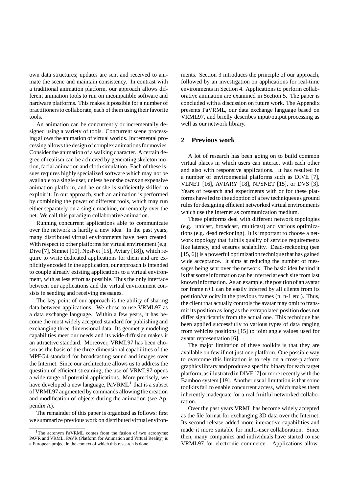own data structures; updates are sent and received to animate the scene and maintain consistency. In contrast with a traditional animation platform, our approach allows different animation tools to run on incompatible software and hardware platforms. This makes it possible for a number of practitioners to collaborate, each of them using their favorite tools.

An animation can be concurrently or incrementally designed using a variety of tools. Concurrent scene processing allows the animation of virtual worlds. Incremental processing allows the design of complex animations for movies. Consider the animation of a walking character. A certain degree of realism can be achieved by generating skeleton motion, facial animation and cloth simulation. Each of these issues requires highly specialized software which may not be available to a single user, unless he or she owns an expensive animation platform, and he or she is sufficiently skilled to exploit it. In our approach, such an animation is performed by combining the power of different tools, which may run either separately on a single machine, or remotely over the net. We call this paradigm collaborative animation.

Running concurrent applications able to communicate over the network is hardly a new idea. In the past years, many distributed virtual environments have been created. With respect to other platforms for virtual environment (e.g. Dive [7], Simnet [10], NpsNet [15], Aviary [18]), which require to write dedicated applications for them and are explicitly encoded in the application, our approach is intended to couple already existing applications to a virtual environment, with as less effort as possible. Thus the only interface between our applications and the virtual environment consists in sending and receiving messages.

The key point of our approach is the ability of sharing data between applications. We chose to use VRML97 as a data exchange language. Within a few years, it has become the most widely accepted standard for publishing and exchanging three-dimensional data. Its geometry modeling capabilities meet our needs and its wide diffusion makes it an attractive standard. Moreover, VRML97 has been chosen as the basis of the three-dimensional capabilities of the MPEG4 standard for broadcasting sound and images over the Internet. Since our architecture allows us to address the question of efficient streaming, the use of VRML97 opens a wide range of potential applications. More precisely, we have developed a new language,  $PaVRML<sup>1</sup>$  that is a subset of VRML97 augmented by commands allowing the creation and modification of objects during the animation (see Appendix A).

The remainder of this paper is organized as follows: first we summarize previous work on distributed virtual environments. Section 3 introduces the principle of our approach, followed by an investigation on applications for real-time environments in Section 4. Applications to perform collaborative animation are examined in Section 5. The paper is concluded with a discussion on future work. The Appendix presents PaVRML, our data exchange language based on VRML97, and briefly describes input/output processing as well as our network library.

#### **2 Previous work**

A lot of research has been going on to build common virtual places in which users can interact with each other and also with responsive applications. It has resulted in a number of environmental platforms such as DIVE [7], VLNET [16], AVIARY [18], NPSNET [15], or DVS [3]. Years of research and experiments with or for these platforms have led to the adoption of a few techniques as ground rules for designing efficient networked virtual environments which use the Internet as communication medium.

These platforms deal with different network topologies (e.g. unicast, broadcast, multicast) and various optimizations (e.g. dead reckoning). It is important to choose a network topology that fulfills quality of service requirements like latency, and ensures scalability. Dead-reckoning (see [15, 6]) is a powerful optimization technique that has gained wide acceptance. It aims at reducing the number of messages being sent over the network. The basic idea behind it is that some information can be inferred at each site from last known information. As an example, the positionof an avatar for frame n+1 can be easily inferred by all clients from its position/velocity in the previous frames (n, n-1 etc.). Thus, the client that actually controls the avatar may omit to transmit its position as long as the extrapolated position does not differ significantly from the actual one. This technique has been applied successfully to various types of data ranging from vehicles positions [15] to joint angle values used for avatar representation [6].

The major limitation of these toolkits is that they are available on few if not just one platform. One possible way to overcome this limitation is to rely on a cross-platform graphics library and produce a specific binary for each target platform, as illustratedin DIVE [7] or more recently with the Bamboo system [19]. Another usual limitation is that some toolkits fail to enable concurrent access, which makes them inherently inadequate for a real fruitful networked collaboration.

Over the past years VRML has become widely accepted as the file format for exchanging 3D data over the Internet. Its second release added more interactive capabilities and made it more suitable for multi-user collaboration. Since then, many companies and individuals have started to use VRML97 for electronic commerce. Applications allow-

<sup>&</sup>lt;sup>1</sup>The acronym PaVRML comes from the fusion of two acronyms: PAVR and VRML. PAVR (Platform for Animation and Virtual Reality) is a European project in the context of which this research is done.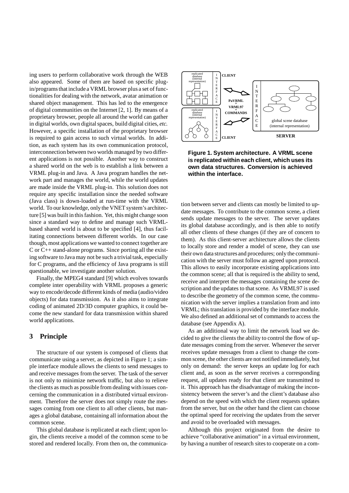ing users to perform collaborative work through the WEB also appeared. Some of them are based on specific plugin/programs that include a VRML browser plus a set of functionalities for dealing with the network, avatar animation or shared object management. This has led to the emergence of digital communities on the Internet [2, 1]. By means of a proprietary browser, people all around the world can gather in digital worlds, own digital spaces, build digital cities, *etc.* However, a specific installation of the proprietary browser is required to gain access to such virtual worlds. In addition, as each system has its own communication protocol, interconnection between two worlds managed by two different applications is not possible. Another way to construct a shared world on the web is to establish a link between a VRML plug-in and Java. A Java program handles the network part and manages the world, while the world updates are made inside the VRML plug-in. This solution does not require any specific installation since the needed software (Java class) is down-loaded at run-time with the VRML world. To our knowledge, onlythe VNET system's architecture [5] was built in this fashion. Yet, this might change soon since a standard way to define and manage such VRMLbased shared world is about to be specified [4], thus facilitating connections between different worlds. In our case though, most applications we wanted to connect together are C or C++ stand-alone programs. Since porting all the existing software to Java may not be such a trivial task, especially for C programs, and the efficiency of Java programs is still questionable, we investigate another solution.

Finally, the MPEG4 standard [9] which evolves towards complete inter operability with VRML proposes a generic way to encode/decode different kinds of media (audio/video objects) for data transmission. As it also aims to integrate coding of animated 2D/3D computer graphics, it could become the new standard for data transmission within shared world applications.

#### **3 Principle**

The structure of our system is composed of clients that communicate using a server, as depicted in Figure 1; a simple interface module allows the clients to send messages to and receive messages from the server. The task of the server is not only to minimize network traffic, but also to relieve the clients as much as possible from dealing with issues concerning the communication in a distributed virtual environment. Therefore the server does not simply route the messages coming from one client to all other clients, but manages a global database, containing all information about the common scene.

This global database is replicated at each client; upon login, the clients receive a model of the common scene to be stored and rendered locally. From then on, the communica-



**Figure 1. System architecture. A VRML scene is replicated within each client, which uses its own data structures. Conversion is achieved within the interface.**

tion between server and clients can mostly be limited to update messages. To contribute to the common scene, a client sends update messages to the server. The server updates its global database accordingly, and is then able to notify all other clients of these changes (if they are of concern to them). As this client-server architecture allows the clients to locally store and render a model of scene, they can use their own data structures and procedures; only the communication with the server must follow an agreed upon protocol. This allows to easily incorporate existing applications into the common scene; all that is required is the ability to send, receive and interpret the messages containing the scene description and the updates to that scene. As VRML97 is used to describe the geometry of the common scene, the communication with the server implies a translation from and into VRML; this translation is provided by the interface module. We also defined an additional set of commands to access the database (see Appendix A).

As an additional way to limit the network load we decided to give the clients the ability to control the flow of update messages coming from the server. Whenever the server receives update messages from a client to change the common scene, the other clients are not notified immediately, but only on demand: the server keeps an update log for each client and, as soon as the server receives a corresponding request, all updates ready for that client are transmitted to it. This approach has the disadvantage of making the inconsistency between the server's and the client's database also depend on the speed with which the client requests updates from the server, but on the other hand the client can choose the optimal speed for receiving the updates from the server and avoid to be overloaded with messages.

Although this project originated from the desire to achieve "collaborative animation" in a virtual environment, by having a number of research sites to cooperate on a com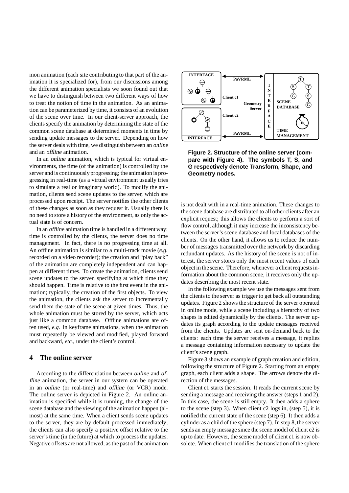mon animation (each site contributing to that part of the animation it is specialized for), from our discussions among the different animation specialists we soon found out that we have to distinguish between two different ways of how to treat the notion of time in the animation. As an animation can be parameterized by time, it consists of an evolution of the scene over time. In our client-server approach, the clients specify the animation by determining the state of the common scene database at determined moments in time by sending update messages to the server. Depending on how the server deals with time, we distinguish between an online and an offline animation.

In an online animation, which is typical for virtual environments, the time (of the animation) is controlled by the server and is continuously progressing; the animation is progressing in real-time (as a virtual environment usually tries to simulate a real or imaginary world). To modify the animation, clients send scene updates to the server, which are processed upon receipt. The server notifies the other clients of these changes as soon as they request it. Usually there is no need to store a history of the environment, as only the actual state is of concern.

In an offline animation time is handled in a different way: time is controlled by the clients, the server does no time management. In fact, there is no progressing time at all. An offline animation is similar to a multi-track movie (*e.g.* recorded on a video recorder); the creation and "play back" of the animation are completely independent and can happen at different times. To create the animation, clients send scene updates to the server, specifying at which time they should happen. Time is relative to the first event in the animation; typically, the creation of the first objects. To view the animation, the clients ask the server to incrementally send them the state of the scene at given times. Thus, the whole animation must be stored by the server, which acts just like a common database. Offline animations are often used, *e.g.* in keyframe animations, when the animation must repeatedly be viewed and modified, played forward and backward, *etc.*, under the client's control.

#### **4 The online server**

According to the differentiation between online and offline animation, the server in our system can be operated in an online (or real-time) and offline (or VCR) mode. The online server is depicted in Figure 2. An online animation is specified while it is running, the change of the scene database and the viewing of the animation happen (almost) at the same time. When a client sends scene updates to the server, they are by default processed immediately; the clients can also specify a positive offset relative to the server's time (in the future) at which to process the updates. Negative offsets are not allowed, as the past of the animation



**Figure 2. Structure of the online server (compare with Figure 4). The symbols T, S, and G respectively denote Transform, Shape, and Geometry nodes.**

is not dealt with in a real-time animation. These changes to the scene database are distributed to all other clients after an explicit request; this allows the clients to perform a sort of flow control, although it may increase the inconsistency between the server's scene database and local databases of the clients. On the other hand, it allows us to reduce the number of messages transmitted over the network by discarding redundant updates. As the history of the scene is not of interest, the server stores only the most recent values of each object in the scene. Therefore, whenever a client requests information about the common scene, it receives only the updates describing the most recent state.

In the following example we use the messages sent from the clients to the server as trigger to get back all outstanding updates. Figure 2 shows the structure of the server operated in online mode, while a scene including a hierarchy of two shapes is edited dynamically by the clients. The server updates its graph according to the update messages received from the clients. Updates are sent on-demand back to the clients: each time the server receives a message, it replies a message containing information necessary to update the client's scene graph.

Figure 3 shows an example of graph creation and edition, following the structure of Figure 2. Starting from an empty graph, each client adds a shape. The arrows denote the direction of the messages.

Client c1 starts the session. It reads the current scene by sending a message and receiving the answer (steps 1 and 2). In this case, the scene is still empty. It then adds a sphere to the scene (step 3). When client c2 logs in, (step 5), it is notified the current state of the scene (step 6). It then adds a cylinder as a child of the sphere (step 7). In step 8, the server sends an empty message since the scene model of client c2 is up to date. However, the scene model of client c1 is now obsolete. When client c1 modifies the translation of the sphere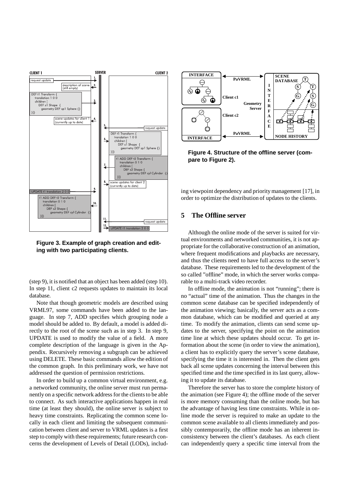

**Figure 3. Example of graph creation and editing with two participating clients.**

(step 9), it is notified that an object has been added (step 10). In step 11, client c2 requests updates to maintain its local database.

Note that though geometric models are described using VRML97, some commands have been added to the language. In step 7, ADD specifies which grouping node a model should be added to. By default, a model is added directly to the root of the scene such as in step 3. In step 9, UPDATE is used to modify the value of a field. A more complete description of the language is given in the Appendix. Recursively removing a subgraph can be achieved using DELETE. These basic commands allow the edition of the common graph. In this preliminary work, we have not addressed the question of permission restrictions.

In order to build up a common virtual environment, e.g. a networked community, the online server must run permanently on a specific network address for the clients to be able to connect. As such interactive applications happen in real time (at least they should), the online server is subject to heavy time constraints. Replicating the common scene locally in each client and limiting the subsequent communication between client and server to VRML updates is a first step to comply with these requirements; future research concerns the development of Levels of Detail (LODs), includ-



**Figure 4. Structure of the offline server (compare to Figure 2).**

ing viewpoint dependency and priority management [17], in order to optimize the distribution of updates to the clients.

#### **5 The Offline server**

Although the online mode of the server is suited for virtual environments and networked communities, it is not appropriate for the collaborative construction of an animation, where frequent modifications and playbacks are necessary, and thus the clients need to have full access to the server's database. These requirements led to the development of the so called "offline" mode, in which the server works comparable to a multi-track video recorder.

In offline mode, the animation is not "running"; there is no "actual" time of the animation. Thus the changes in the common scene database can be specified independently of the animation viewing; basically, the server acts as a common database, which can be modified and queried at any time. To modify the animation, clients can send scene updates to the server, specifying the point on the animation time line at which these updates should occur. To get information about the scene (in order to view the animation), a client has to explicitly query the server's scene database, specifying the time it is interested in. Then the client gets back all scene updates concerning the interval between this specified time and the time specified in its last query, allowing it to update its database.

Therefore the server has to store the complete history of the animation (see Figure 4); the offline mode of the server is more memory consuming than the online mode, but has the advantage of having less time constraints. While in online mode the server is required to make an update to the common scene available to all clients immediately and possibly contemporarily, the offline mode has an inherent inconsistency between the client's databases. As each client can independently query a specific time interval from the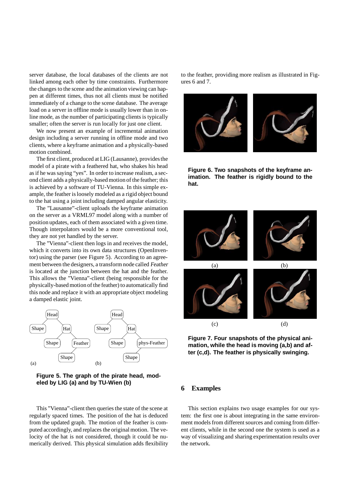server database, the local databases of the clients are not linked among each other by time constraints. Furthermore the changes to the scene and the animation viewing can happen at different times, thus not all clients must be notified immediately of a change to the scene database. The average load on a server in offline mode is usually lower than in online mode, as the number of participating clients is typically smaller; often the server is run locally for just one client.

We now present an example of incremental animation design including a server running in offline mode and two clients, where a keyframe animation and a physically-based motion combined.

The first client, produced at LIG (Lausanne), provides the model of a pirate with a feathered hat, who shakes his head as if he was saying "yes". In order to increase realism, a second client adds a physically-based motion of the feather; this is achieved by a software of TU-Vienna. In this simple example, the feather is loosely modeled as a rigid object bound to the hat using a joint including damped angular elasticity.

The "Lausanne"-client uploads the keyframe animation on the server as a VRML97 model along with a number of position updates, each of them associated with a given time. Though interpolators would be a more conventional tool, they are not yet handled by the server.

The "Vienna"-client then logs in and receives the model, which it converts into its own data structures (OpenInventor) using the parser (see Figure 5). According to an agreement between the designers, a transform node called Feather is located at the junction between the hat and the feather. This allows the "Vienna"-client (being responsible for the physically-based motion of the feather) to automatically find this node and replace it with an appropriate object modeling a damped elastic joint.



**Figure 5. The graph of the pirate head, modeled by LIG (a) and by TU-Wien (b)**

This "Vienna"-client then queries the state of the scene at regularly spaced times. The position of the hat is deduced from the updated graph. The motion of the feather is computed accordingly, and replaces the original motion. The velocity of the hat is not considered, though it could be numerically derived. This physical simulation adds flexibility to the feather, providing more realism as illustrated in Figures 6 and 7.



**Figure 6. Two snapshots of the keyframe animation. The feather is rigidly bound to the hat.**



**Figure 7. Four snapshots of the physical animation, while the head is moving (a,b) and after (c,d). The feather is physically swinging.**

### **6 Examples**

This section explains two usage examples for our system: the first one is about integrating in the same environment models from different sources and coming from different clients, while in the second one the system is used as a way of visualizing and sharing experimentation results over the network.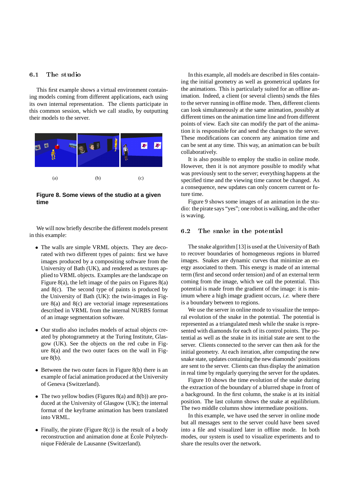#### 6.1 The studio

This first example shows a virtual environment containing models coming from different applications, each using its own internal representation. The clients participate in this common session, which we call studio, by outputting their models to the server.



**Figure 8. Some views of the studio at a given time**

We will now briefly describe the different models present in this example:

- The walls are simple VRML objects. They are decorated with two different types of paints: first we have images produced by a compositing software from the University of Bath (UK), and rendered as textures applied to VRML objects. Examples are the landscape on Figure 8(a), the left image of the pairs on Figures 8(a) and 8(c). The second type of paints is produced by the University of Bath (UK): the twin-images in Figure 8(a) and 8(c) are vectorial image representations described in VRML from the internal NURBS format of an image segmentation software.
- Our studio also includes models of actual objects created by photogrammetry at the Turing Institute, Glasgow (UK). See the objects on the red cube in Figure 8(a) and the two outer faces on the wall in Figure 8(b).
- $\bullet$  Between the two outer faces in Figure 8(b) there is an example of facial animation produced at the University of Geneva (Switzerland).
- The two yellow bodies (Figures 8(a) and 8(b)) are produced at the University of Glasgow (UK); the internal format of the keyframe animation has been translated into VRML.
- Finally, the pirate (Figure  $8(c)$ ) is the result of a body reconstruction and animation done at École Polytechnique Fédérale de Lausanne (Switzerland).

In this example, all models are described in files containing the initial geometry as well as geometrical updates for the animations. This is particularly suited for an offline animation. Indeed, a client (or several clients) sends the files to the server running in offline mode. Then, different clients can look simultaneously at the same animation, possibly at different times on the animation time line and from different points of view. Each site can modify the part of the animation it is responsible for and send the changes to the server. These modifications can concern any animation time and can be sent at any time. This way, an animation can be built collaboratively.

It is also possible to employ the studio in online mode. However, then it is not anymore possible to modify what was previously sent to the server; everything happens at the specified time and the viewing time cannot be changed. As a consequence, new updates can only concern current or future time.

Figure 9 shows some images of an animation in the studio: the pirate says "yes"; one robot is walking, and the other is waving.

#### 6.2 The snake in the potential

The snake algorithm [13] is used at the Universityof Bath to recover boundaries of homogeneous regions in blurred images. Snakes are dynamic curves that minimize an energy associated to them. This energy is made of an internal term (first and second order tension) and of an external term coming from the image, which we call the potential. This potential is made from the gradient of the image: it is minimum where a high image gradient occurs, *i.e.* where there is a boundary between to regions.

We use the server in online mode to visualize the temporal evolution of the snake in the potential. The potential is represented as a triangulated mesh while the snake is represented with diamonds for each of its control points. The potential as well as the snake in its initial state are sent to the server. Clients connected to the server can then ask for the initial geometry. At each iteration, after computing the new snake state, updates containing the new diamonds' positions are sent to the server. Clients can thus display the animation in real time by regularly querying the server for the updates.

Figure 10 shows the time evolution of the snake during the extraction of the boundary of a blurred shape in front of a background. In the first column, the snake is at its initial position. The last column shows the snake at equilibrium. The two middle columns show intermediate positions.

In this example, we have used the server in online mode but all messages sent to the server could have been saved into a file and visualized later in offline mode. In both modes, our system is used to visualize experiments and to share the results over the network.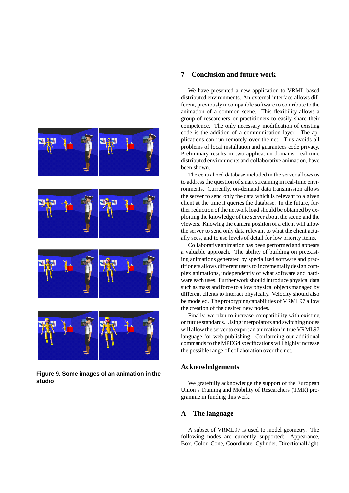

**Figure 9. Some images of an animation in the studio**

### **7 Conclusion and future work**

We have presented a new application to VRML-based distributed environments. An external interface allows different, previously incompatible software to contribute to the animation of a common scene. This flexibility allows a group of researchers or practitioners to easily share their competence. The only necessary modification of existing code is the addition of a communication layer. The applications can run remotely over the net. This avoids all problems of local installation and guarantees code privacy. Preliminary results in two application domains, real-time distributed environments and collaborative animation, have been shown.

The centralized database included in the server allows us to address the question of smart streaming in real-time environments. Currently, on-demand data transmission allows the server to send only the data which is relevant to a given client at the time it queries the database. In the future, further reduction of the network load should be obtained by exploiting the knowledge of the server about the scene and the viewers. Knowing the camera position of a client will allow the server to send only data relevant to what the client actually sees, and to use levels of detail for low priority items.

Collaborative animation has been performed and appears a valuable approach. The ability of building on preexisting animations generated by specialized software and practitioners allows different users to incrementally design complex animations, independently of what software and hardware each uses. Further work should introduce physical data such as mass and force to allow physical objects managed by different clients to interact physically. Velocity should also be modeled. The prototypingcapabilities of VRML97 allow the creation of the desired new nodes.

Finally, we plan to increase compatibility with existing or future standards. Using interpolators and switchingnodes will allow the server to export an animation in true VRML97 language for web publishing. Conforming our additional commands to the MPEG4 specifications will highlyincrease the possible range of collaboration over the net.

#### **Acknowledgements**

We gratefully acknowledge the support of the European Union's Training and Mobility of Researchers (TMR) programme in funding this work.

#### **A The language**

A subset of VRML97 is used to model geometry. The following nodes are currently supported: Appearance, Box, Color, Cone, Coordinate, Cylinder, DirectionalLight,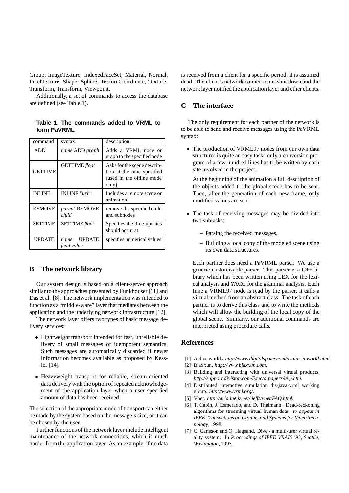Group, ImageTexture, IndexedFaceSet, Material, Normal, PixelTexture, Shape, Sphere, TextureCoordinate, Texture-Transform, Transform, Viewpoint.

Additionally, a set of commands to access the database are defined (see Table 1).

| Table 1. The commands added to VRML to |  |  |  |
|----------------------------------------|--|--|--|
| form PaVRML                            |  |  |  |

| command        | syntax                               | description                                                                                     |  |  |
|----------------|--------------------------------------|-------------------------------------------------------------------------------------------------|--|--|
| ADD            | name ADD graph                       | Adds a VRML node or<br>graph to the specified node                                              |  |  |
| <b>GETTIME</b> | <b>GETTIME</b> float                 | Asks for the scene descrip-<br>tion at the time specified<br>(used in the offline mode<br>only) |  |  |
| <b>INLINE</b>  | INLINE "url"                         | Includes a remote scene or<br>animation                                                         |  |  |
| <b>REMOVE</b>  | <i>parent REMOVE</i><br>child        | remove the specified child<br>and subnodes                                                      |  |  |
| <b>SETTIME</b> | <b>SETTIME</b> float                 | Specifies the time updates<br>should occur at                                                   |  |  |
| <b>UPDATE</b>  | <b>UPDATE</b><br>name<br>field value | specifies numerical values                                                                      |  |  |

#### **B The network library**

Our system design is based on a client-server approach similar to the approaches presented by Funkhouser [11] and Das et al. [8]. The network implementation was intended to function as a "middle-ware" layer that mediates between the application and the underlying network infrastructure [12].

The network layer offers two types of basic message delivery services:

- Lightweight transport intended for fast, unreliable delivery of small messages of idempotent semantics. Such messages are automatically discarded if newer information becomes available as proposed by Kessler [14].
- Heavyweight transport for reliable, stream-oriented data delivery with the option of repeated acknowledgement of the application layer when a user specified amount of data has been received.

The selection of the appropriate mode of transport can either be made by the system based on the message's size, or it can be chosen by the user.

Further functions of the network layer include intelligent maintenance of the network connections, which is much harder from the application layer. As an example, if no data

is received from a client for a specific period, it is assumed dead. The client's network connection is shut down and the network layer notified the applicationlayer and other clients.

#### **C The interface**

The only requirement for each partner of the network is to be able to send and receive messages using the PaVRML syntax:

 The production of VRML97 nodes from our own data structures is quite an easy task: only a conversion program of a few hundred lines has to be written by each site involved in the project.

At the beginning of the animation a full description of the objects added to the global scene has to be sent. Then, after the generation of each new frame, only modified values are sent.

- The task of receiving messages may be divided into two subtasks:
	- **–** Parsing the received messages,
	- **–** Building a local copy of the modeled scene using its own data structures.

Each partner does need a PaVRML parser. We use a generic customizable parser. This parser is a C++ library which has been written using LEX for the lexical analysis and YACC for the grammar analysis. Each time a VRML97 node is read by the parser, it calls a virtual method from an abstract class. The task of each partner is to derive this class and to write the methods which will allow the building of the local copy of the global scene. Similarly, our additional commands are interpreted using procedure calls.

### **References**

- [1] Active worlds. *http://www.digitalspace.com/avatars/aworld.html*.
- [2] Blaxxun. *http://www.blaxxun.com*.
- [3] Building and interacting with universal virtual products. *http://support.division.com/5.tec/a papers/uvp.htm*.
- [4] Distributed interactive simulation dis-java-vrml working group. *http://www.vrml.org/*.
- [5] Vnet. *http://ariadne.iz.net/ jeffs/vnet/FAQ.html*.
- [6] T. Capin, J. Esmerado, and D. Thalmann. Dead-reckoning algorithms for streaming virtual human data. *to appear in IEEE Transactions on Circuits and Systems for Video Technology*, 1998.
- [7] C. Carlsson and O. Hagsand. Dive a multi-user virtual reality system. In *Proceedings of IEEE VRAIS '93, Seattle, Washington*, 1993.